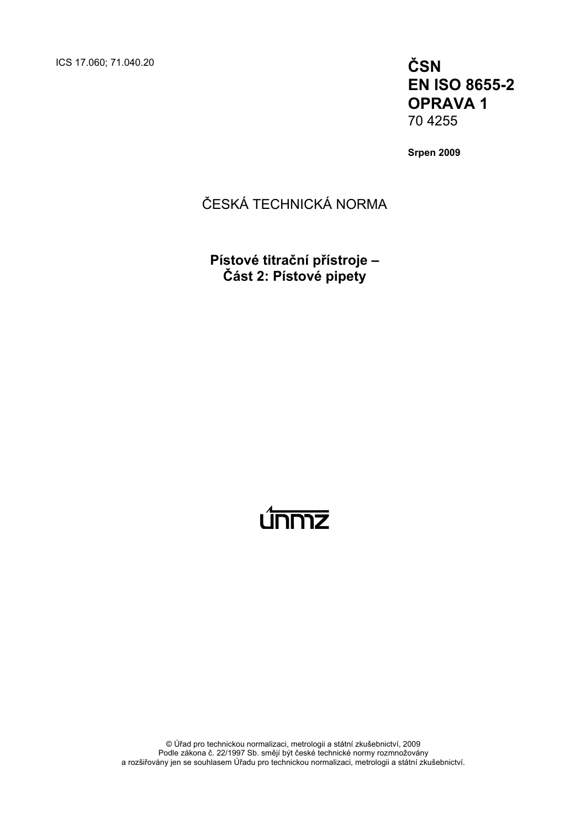ICS 17.060; 71.040.20 **ČSN** 

**EN ISO 8655-2 OPRAVA 1** 70 4255

**Srpen 2009** 

# ČESKÁ TECHNICKÁ NORMA

**Pístové titrační přístroje – Část 2: Pístové pipety** 

# <u>únmz</u>

© Úřad pro technickou normalizaci, metrologii a státní zkušebnictví, 2009 Podle zákona č. 22/1997 Sb. smějí být české technické normy rozmnožovány a rozšiřovány jen se souhlasem Úřadu pro technickou normalizaci, metrologii a státní zkušebnictví.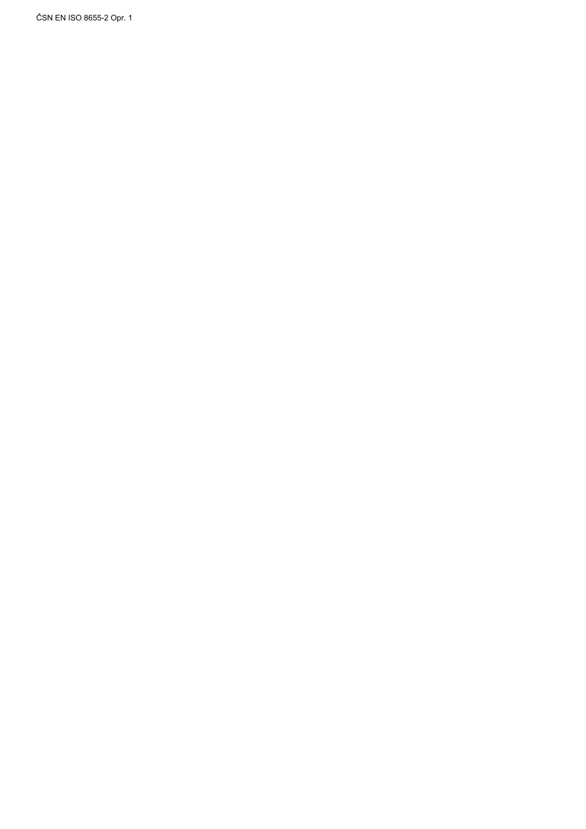ČSN EN ISO 8655-2 Opr. 1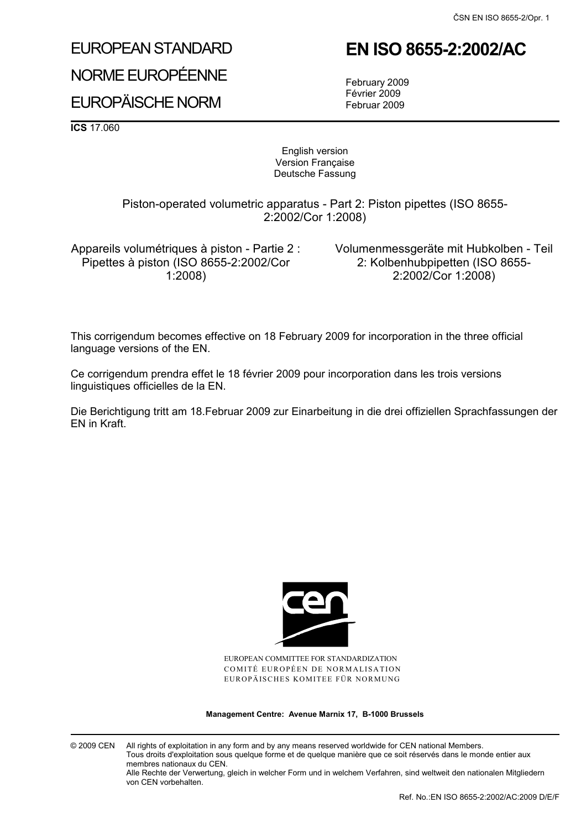### EUROPEAN STANDARD

# **EN ISO 8655-2:2002/AC**

NORME EUROPÉENNE

## EUROPÄISCHE NORM

 February 2009 Février 2009 Februar 2009

**ICS** 17.060

English version Version Française Deutsche Fassung

 Piston-operated volumetric apparatus - Part 2: Piston pipettes (ISO 8655- 2:2002/Cor 1:2008)

Appareils volumétriques à piston - Partie 2 : Pipettes à piston (ISO 8655-2:2002/Cor 1:2008)

 Volumenmessgeräte mit Hubkolben - Teil 2: Kolbenhubpipetten (ISO 8655- 2:2002/Cor 1:2008)

This corrigendum becomes effective on 18 February 2009 for incorporation in the three official language versions of the EN.

Ce corrigendum prendra effet le 18 février 2009 pour incorporation dans les trois versions linguistiques officielles de la EN.

Die Berichtigung tritt am 18.Februar 2009 zur Einarbeitung in die drei offiziellen Sprachfassungen der EN in Kraft.



EUROPEAN COMMITTEE FOR STANDARDIZATION COMITÉ EUROPÉEN DE NORMALISATION EUROPÄISCHES KOMITEE FÜR NORMUNG

**Management Centre: Avenue Marnix 17, B-1000 Brussels** 

© 2009 CEN All rights of exploitation in any form and by any means reserved worldwide for CEN national Members. Tous droits d'exploitation sous quelque forme et de quelque manière que ce soit réservés dans le monde entier aux membres nationaux du CEN. Alle Rechte der Verwertung, gleich in welcher Form und in welchem Verfahren, sind weltweit den nationalen Mitgliedern

von CEN vorbehalten.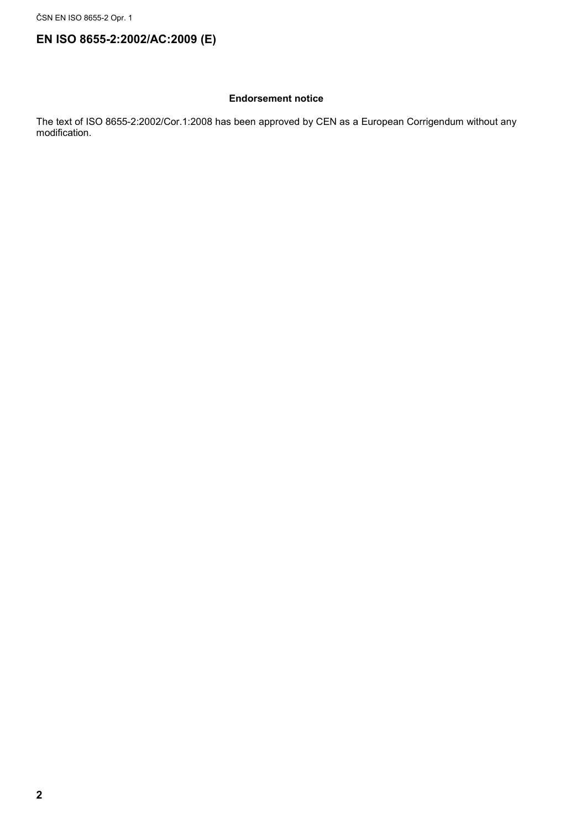ČSN EN ISO 8655-2 Opr. 1

### **EN ISO 8655-2:2002/AC:2009 (E)**

### **Endorsement notice**

The text of ISO 8655-2:2002/Cor.1:2008 has been approved by CEN as a European Corrigendum without any modification.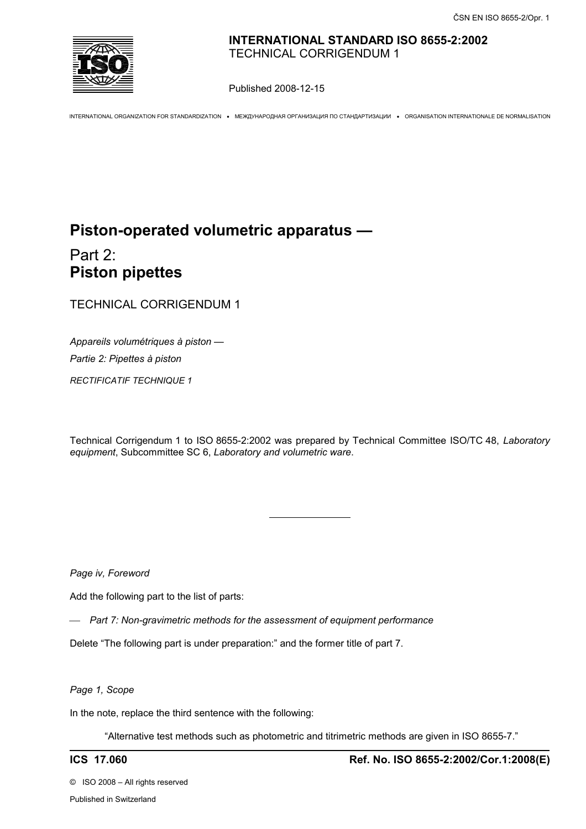

### **INTERNATIONAL STANDARD ISO 8655-2:2002**  TECHNICAL CORRIGENDUM 1

Published 2008-12-15

INTERNATIONAL ORGANIZATION FOR STANDARDIZATION • МЕЖДУНАРОДНАЯ ОРГАНИЗАЦИЯ ПО СТАНДАРТИЗАЦИИ • ORGANISATION INTERNATIONALE DE NORMALISATION

## **Piston-operated volumetric apparatus —**

### Part 2: **Piston pipettes**

### TECHNICAL CORRIGENDUM 1

*Appareils volumétriques à piston — Partie 2: Pipettes à piston RECTIFICATIF TECHNIQUE 1*

Technical Corrigendum 1 to ISO 8655-2:2002 was prepared by Technical Committee ISO/TC 48, *Laboratory equipment*, Subcommittee SC 6, *Laboratory and volumetric ware*.

*Page iv, Foreword* 

Add the following part to the list of parts:

⎯ *Part 7: Non-gravimetric methods for the assessment of equipment performance* 

L

Delete "The following part is under preparation:" and the former title of part 7.

*Page 1, Scope* 

In the note, replace the third sentence with the following:

"Alternative test methods such as photometric and titrimetric methods are given in ISO 8655-7."

©ISO 2008 – All rights reserved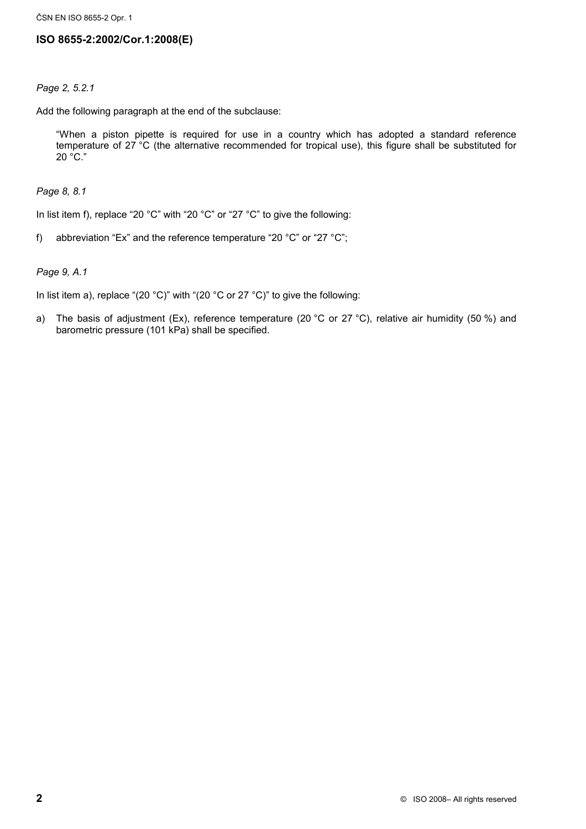#### **ISO 8655-2:2002/Cor.1:2008(E)**

#### *Page 2, 5.2.1*

Add the following paragraph at the end of the subclause:

"When a piston pipette is required for use in a country which has adopted a standard reference temperature of 27 °C (the alternative recommended for tropical use), this figure shall be substituted for 20 °C."

#### *Page 8, 8.1*

In list item f), replace "20 °C" with "20 °C" or "27 °C" to give the following:

f) abbreviation "Ex" and the reference temperature "20 °C" or "27 °C";

#### *Page 9, A.1*

In list item a), replace "(20 °C)" with "(20 °C or 27 °C)" to give the following:

a) The basis of adjustment (Ex), reference temperature (20 °C or 27 °C), relative air humidity (50 %) and barometric pressure (101 kPa) shall be specified.